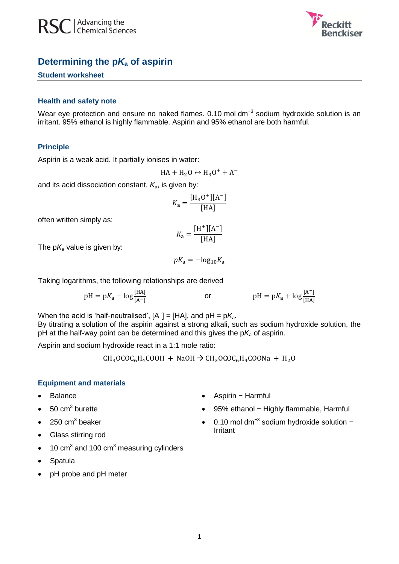



# **Determining the p***K***<sup>a</sup> of aspirin**

# **Student worksheet**

#### **Health and safety note**

Wear eye protection and ensure no naked flames. 0.10 mol dm<sup>-3</sup> sodium hydroxide solution is an irritant. 95% ethanol is highly flammable. Aspirin and 95% ethanol are both harmful.

#### **Principle**

Aspirin is a weak acid. It partially ionises in water:

$$
HA + H_2O \leftrightarrow H_3O^+ + A^-
$$

and its acid dissociation constant, *K*a, is given by:

$$
K_{\rm a} = \frac{[{\rm H}_{3}{\rm O}^{+}][{\rm A}^{-}]}{[{\rm HA}]}
$$

often written simply as:

$$
K_{\rm a} = \frac{\rm [H^+][A^-]}{\rm [HA]}
$$

The  $pK_a$  value is given by:

$$
pK_{\rm a} = -\log_{10} K_{\rm a}
$$

Taking logarithms, the following relationships are derived

$$
pH = pK_a - \log \frac{[HA]}{[A^-]}
$$
 or 
$$
pH = pK_a + \log \frac{[A^-]}{[HA]}
$$

When the acid is 'half-neutralised',  $[A^{\dagger}] = [HA]$ , and  $pH = pK_a$ .

By titrating a solution of the aspirin against a strong alkali, such as sodium hydroxide solution, the pH at the half-way point can be determined and this gives the  $pK_a$  of aspirin.

Aspirin and sodium hydroxide react in a 1:1 mole ratio:

 $CH_3OCOC_6H_4COOH + NaOH \rightarrow CH_3OCOC_6H_4COONa + H_2O$ 

### **Equipment and materials**

- Balance
- $\bullet$  50 cm<sup>3</sup> burette
- $\bullet$  250 cm<sup>3</sup> beaker
- Glass stirring rod
- $\bullet$  10 cm<sup>3</sup> and 100 cm<sup>3</sup> measuring cylinders
- Spatula
- pH probe and pH meter
- Aspirin − Harmful
- 95% ethanol Highly flammable, Harmful
- 0.10 mol dm<sup>-3</sup> sodium hydroxide solution − Irritant